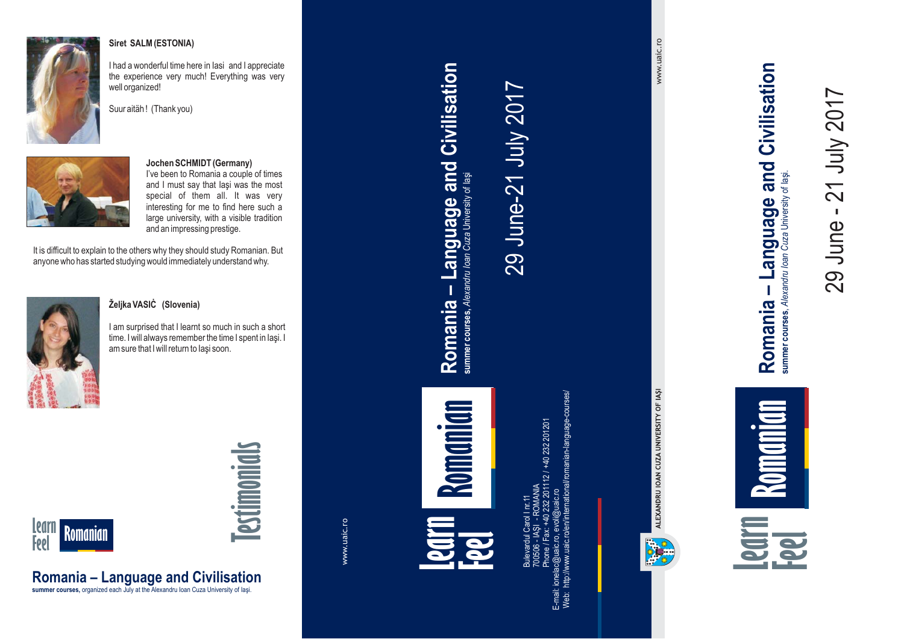

#### **Siret SALM (ESTONIA)**

I had <sup>a</sup> wonderful time here in Iasi and I appreciate the experience very much! Everything was very well organized!





#### **Jochen SCHMIDT (Germany)**

I've been to Romania <sup>a</sup> couple of times and I must say that Iaşi was the most special of them all. It was very interesting for me to find here such <sup>a</sup> large university, with <sup>a</sup> visible tradition and an impressing prestige.

It is difficult to explain to the others why they should study Romanian. But anyone who has started studying would immediately understand why.



#### **Željka VASIĊ (Slovenia)**

**Romania – Language and Civilisation summer courses,** organized each July at the Alexandru Ioan Cuza University of Iaşi.

I am surprised that I learnt so much in such <sup>a</sup> short time. I will always remember the time I spent in Iaşi. I am sure that I will return to Iaşi soon.



# **Testimonials**

www.uaic.ro

Romania - Language and Civilisation **Romania – Language and Civilisation** summer courses, Alexandru Ioan Cuza University of laşi **Romanian Learn Feel**

Bulevardul Carol I nr. 11 Phone / Fax: +40 232 201112 / +40 232 201201 E-mail: ionelac@uaic.ro, evoli@uaic.ro Web: http://www.uaic.ro/en/international/romanian-language-courses/  $\equiv$ - IAŞI - ROMANIA 232 201112 700506

29 June-21 July 2017

29 June-21 July 2017

www.uaic.ro www.uaic.ro



29 June - 21 July 2017

- June

21 July 2017